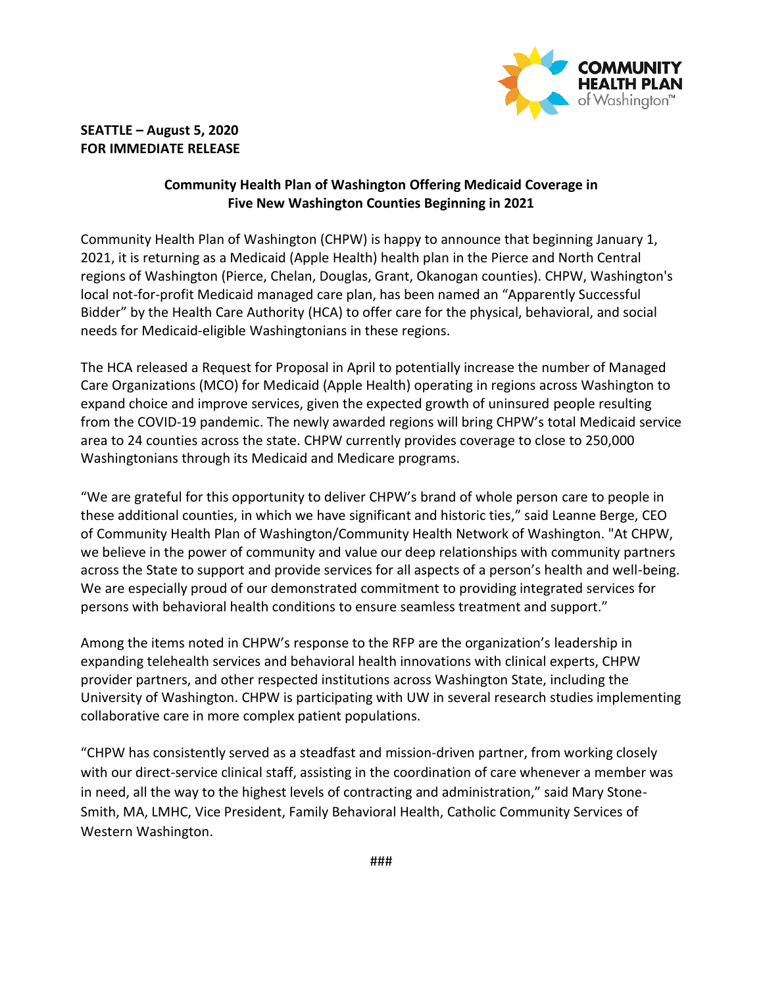

## **SEATTLE – August 5, 2020 FOR IMMEDIATE RELEASE**

## **Community Health Plan of Washington Offering Medicaid Coverage in Five New Washington Counties Beginning in 2021**

Community Health Plan of Washington (CHPW) is happy to announce that beginning January 1, 2021, it is returning as a Medicaid (Apple Health) health plan in the Pierce and North Central regions of Washington (Pierce, Chelan, Douglas, Grant, Okanogan counties). CHPW, Washington's local not-for-profit Medicaid managed care plan, has been named an "Apparently Successful Bidder" by the Health Care Authority (HCA) to offer care for the physical, behavioral, and social needs for Medicaid-eligible Washingtonians in these regions.

The HCA released a Request for Proposal in April to potentially increase the number of Managed Care Organizations (MCO) for Medicaid (Apple Health) operating in regions across Washington to expand choice and improve services, given the expected growth of uninsured people resulting from the COVID-19 pandemic. The newly awarded regions will bring CHPW's total Medicaid service area to 24 counties across the state. CHPW currently provides coverage to close to 250,000 Washingtonians through its Medicaid and Medicare programs.

"We are grateful for this opportunity to deliver CHPW's brand of whole person care to people in these additional counties, in which we have significant and historic ties," said Leanne Berge, CEO of Community Health Plan of Washington/Community Health Network of Washington. "At CHPW, we believe in the power of community and value our deep relationships with community partners across the State to support and provide services for all aspects of a person's health and well-being. We are especially proud of our demonstrated commitment to providing integrated services for persons with behavioral health conditions to ensure seamless treatment and support."

Among the items noted in CHPW's response to the RFP are the organization's leadership in expanding telehealth services and behavioral health innovations with clinical experts, CHPW provider partners, and other respected institutions across Washington State, including the University of Washington. CHPW is participating with UW in several research studies implementing collaborative care in more complex patient populations.

"CHPW has consistently served as a steadfast and mission-driven partner, from working closely with our direct-service clinical staff, assisting in the coordination of care whenever a member was in need, all the way to the highest levels of contracting and administration," said Mary Stone-Smith, MA, LMHC, Vice President, Family Behavioral Health, Catholic Community Services of Western Washington.